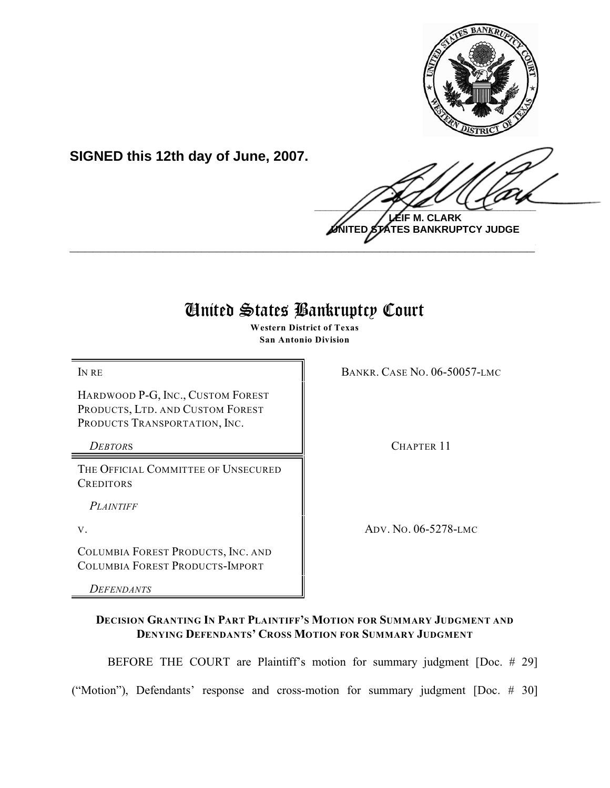

**SIGNED this 12th day of June, 2007.**

 $\frac{1}{2}$ **LEIF M. CLARK**

**UNITED STATES BANKRUPTCY JUDGE \_\_\_\_\_\_\_\_\_\_\_\_\_\_\_\_\_\_\_\_\_\_\_\_\_\_\_\_\_\_\_\_\_\_\_\_\_\_\_\_\_\_\_\_\_\_\_\_\_\_\_\_\_\_\_\_\_\_\_\_**

# United States Bankruptcy Court

**Western District of Texas San Antonio Division**

HARDWOOD P-G, INC., CUSTOM FOREST PRODUCTS, LTD. AND CUSTOM FOREST PRODUCTS TRANSPORTATION, INC.

THE OFFICIAL COMMITTEE OF UNSECURED **CREDITORS** 

*PLAINTIFF*

COLUMBIA FOREST PRODUCTS, INC. AND COLUMBIA FOREST PRODUCTS-IMPORT

*DEFENDANTS*

**IN RE** BANKR. CASE NO. 06-50057-LMC

*DEBTORS* CHAPTER 11

V. ADV. NO. 06-5278-LMC

# **DECISION GRANTING IN PART PLAINTIFF'S MOTION FOR SUMMARY JUDGMENT AND DENYING DEFENDANTS' CROSS MOTION FOR SUMMARY JUDGMENT**

BEFORE THE COURT are Plaintiff's motion for summary judgment [Doc. # 29]

("Motion"), Defendants' response and cross-motion for summary judgment [Doc. # 30]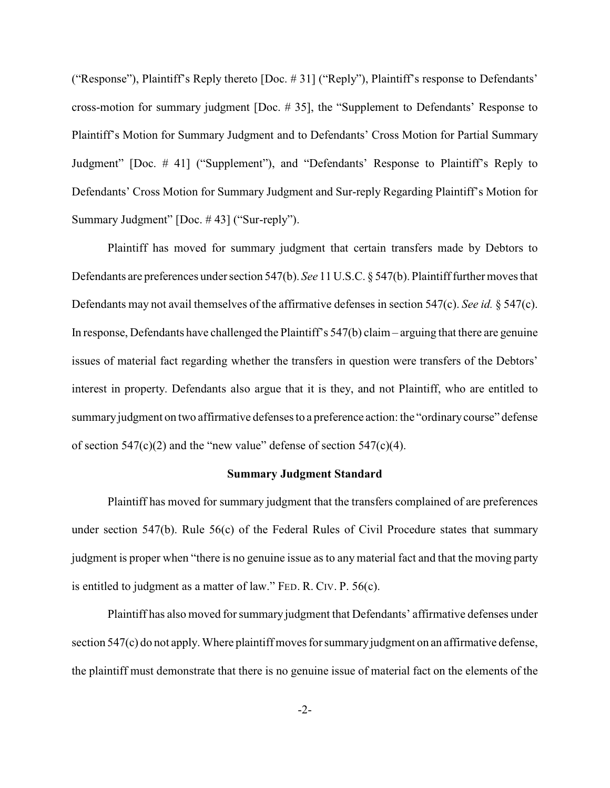("Response"), Plaintiff's Reply thereto [Doc. # 31] ("Reply"), Plaintiff's response to Defendants' cross-motion for summary judgment [Doc. # 35], the "Supplement to Defendants' Response to Plaintiff's Motion for Summary Judgment and to Defendants' Cross Motion for Partial Summary Judgment" [Doc. # 41] ("Supplement"), and "Defendants' Response to Plaintiff's Reply to Defendants' Cross Motion for Summary Judgment and Sur-reply Regarding Plaintiff's Motion for Summary Judgment" [Doc. # 43] ("Sur-reply").

Plaintiff has moved for summary judgment that certain transfers made by Debtors to Defendants are preferences under section 547(b). *See* 11 U.S.C. § 547(b). Plaintiff further moves that Defendants may not avail themselves of the affirmative defenses in section 547(c). *See id.* § 547(c). In response, Defendants have challenged the Plaintiff's 547(b) claim – arguing that there are genuine issues of material fact regarding whether the transfers in question were transfers of the Debtors' interest in property. Defendants also argue that it is they, and not Plaintiff, who are entitled to summary judgment on two affirmative defenses to a preference action: the "ordinary course" defense of section  $547(c)(2)$  and the "new value" defense of section  $547(c)(4)$ .

#### **Summary Judgment Standard**

Plaintiff has moved for summary judgment that the transfers complained of are preferences under section 547(b). Rule 56(c) of the Federal Rules of Civil Procedure states that summary judgment is proper when "there is no genuine issue as to any material fact and that the moving party is entitled to judgment as a matter of law." FED. R. CIV. P. 56(c).

Plaintiff has also moved for summary judgment that Defendants' affirmative defenses under section 547(c) do not apply. Where plaintiff moves for summary judgment on an affirmative defense, the plaintiff must demonstrate that there is no genuine issue of material fact on the elements of the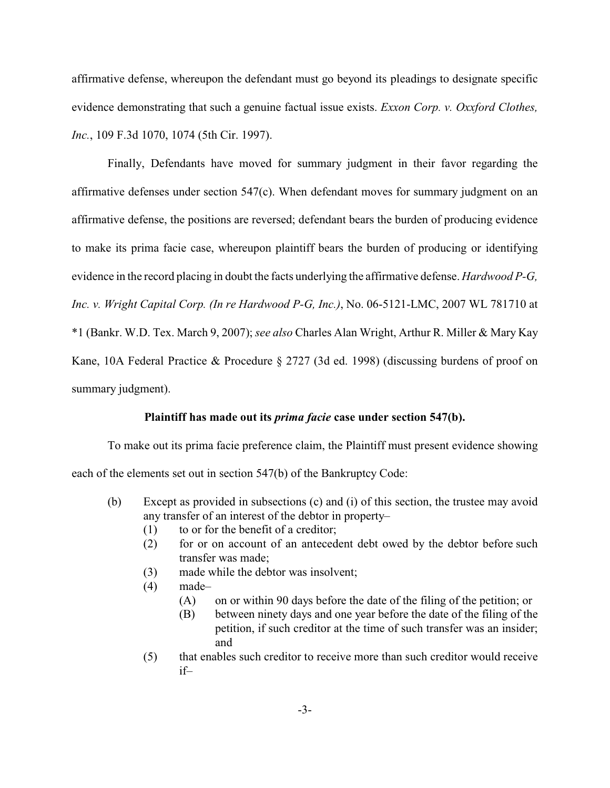affirmative defense, whereupon the defendant must go beyond its pleadings to designate specific evidence demonstrating that such a genuine factual issue exists. *Exxon Corp. v. Oxxford Clothes, Inc.*, 109 F.3d 1070, 1074 (5th Cir. 1997).

Finally, Defendants have moved for summary judgment in their favor regarding the affirmative defenses under section 547(c). When defendant moves for summary judgment on an affirmative defense, the positions are reversed; defendant bears the burden of producing evidence to make its prima facie case, whereupon plaintiff bears the burden of producing or identifying evidence in the record placing in doubt the facts underlying the affirmative defense. *Hardwood P-G, Inc. v. Wright Capital Corp. (In re Hardwood P-G, Inc.)*, No. 06-5121-LMC, 2007 WL 781710 at \*1 (Bankr. W.D. Tex. March 9, 2007); *see also* Charles Alan Wright, Arthur R. Miller & Mary Kay Kane, 10A Federal Practice & Procedure § 2727 (3d ed. 1998) (discussing burdens of proof on summary judgment).

#### **Plaintiff has made out its** *prima facie* **case under section 547(b).**

To make out its prima facie preference claim, the Plaintiff must present evidence showing each of the elements set out in section 547(b) of the Bankruptcy Code:

- (b) Except as provided in subsections (c) and (i) of this section, the trustee may avoid any transfer of an interest of the debtor in property–
	- (1) to or for the benefit of a creditor;
	- (2) for or on account of an antecedent debt owed by the debtor before such transfer was made;
	- (3) made while the debtor was insolvent;
	- $(4)$  made-
		- (A) on or within 90 days before the date of the filing of the petition; or
		- (B) between ninety days and one year before the date of the filing of the petition, if such creditor at the time of such transfer was an insider; and
	- (5) that enables such creditor to receive more than such creditor would receive if–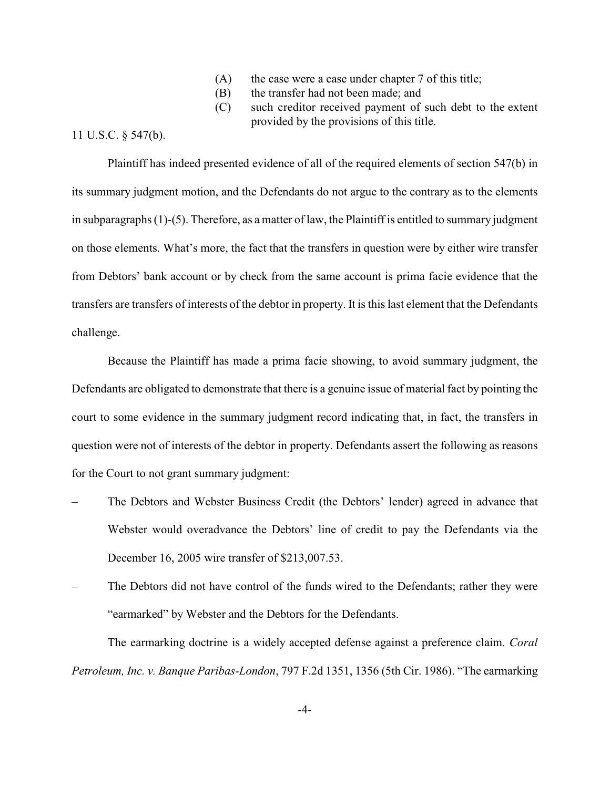- (A) the case were a case under chapter 7 of this title;
- (B) the transfer had not been made; and
- (C) such creditor received payment of such debt to the extent provided by the provisions of this title.

## 11 U.S.C. § 547(b).

Plaintiff has indeed presented evidence of all of the required elements of section 547(b) in its summary judgment motion, and the Defendants do not argue to the contrary as to the elements in subparagraphs (1)-(5). Therefore, as a matter of law, the Plaintiff is entitled to summary judgment on those elements. What's more, the fact that the transfers in question were by either wire transfer from Debtors' bank account or by check from the same account is prima facie evidence that the transfers are transfers of interests of the debtor in property. It is this last element that the Defendants challenge.

Because the Plaintiff has made a prima facie showing, to avoid summary judgment, the Defendants are obligated to demonstrate that there is a genuine issue of material fact by pointing the court to some evidence in the summary judgment record indicating that, in fact, the transfers in question were not of interests of the debtor in property. Defendants assert the following as reasons for the Court to not grant summary judgment:

- The Debtors and Webster Business Credit (the Debtors' lender) agreed in advance that Webster would overadvance the Debtors' line of credit to pay the Defendants via the December 16, 2005 wire transfer of \$213,007.53.
- The Debtors did not have control of the funds wired to the Defendants; rather they were "earmarked" by Webster and the Debtors for the Defendants.

The earmarking doctrine is a widely accepted defense against a preference claim. *Coral Petroleum, Inc. v. Banque Paribas-London*, 797 F.2d 1351, 1356 (5th Cir. 1986). "The earmarking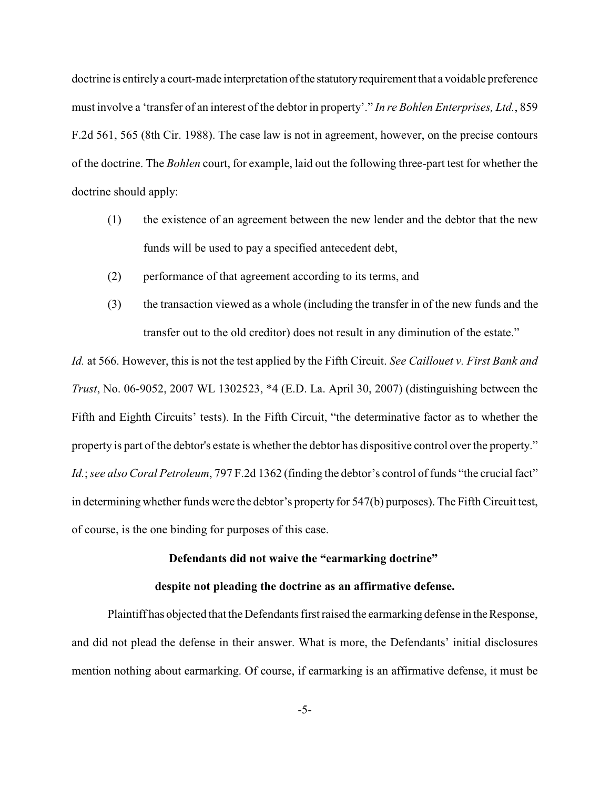doctrine is entirely a court-made interpretation of the statutory requirement that a voidable preference must involve a 'transfer of an interest of the debtor in property'." *In re Bohlen Enterprises, Ltd.*, 859 F.2d 561, 565 (8th Cir. 1988). The case law is not in agreement, however, on the precise contours of the doctrine. The *Bohlen* court, for example, laid out the following three-part test for whether the doctrine should apply:

- (1) the existence of an agreement between the new lender and the debtor that the new funds will be used to pay a specified antecedent debt,
- (2) performance of that agreement according to its terms, and
- (3) the transaction viewed as a whole (including the transfer in of the new funds and the transfer out to the old creditor) does not result in any diminution of the estate."

*Id.* at 566. However, this is not the test applied by the Fifth Circuit. *See Caillouet v. First Bank and Trust*, No. 06-9052, 2007 WL 1302523, \*4 (E.D. La. April 30, 2007) (distinguishing between the Fifth and Eighth Circuits' tests). In the Fifth Circuit, "the determinative factor as to whether the property is part of the debtor's estate is whether the debtor has dispositive control over the property." *Id.*; *see also Coral Petroleum*, 797 F.2d 1362 (finding the debtor's control of funds "the crucial fact" in determining whether funds were the debtor's property for 547(b) purposes). The Fifth Circuit test, of course, is the one binding for purposes of this case.

## **Defendants did not waive the "earmarking doctrine"**

### **despite not pleading the doctrine as an affirmative defense.**

Plaintiff has objected that the Defendants first raised the earmarking defense in the Response, and did not plead the defense in their answer. What is more, the Defendants' initial disclosures mention nothing about earmarking. Of course, if earmarking is an affirmative defense, it must be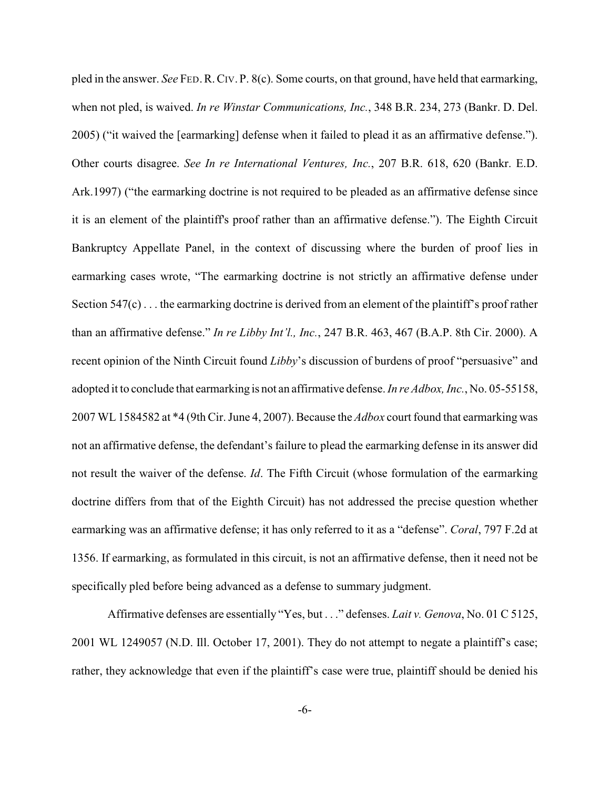pled in the answer. *See* FED.R.CIV. P. 8(c). Some courts, on that ground, have held that earmarking, when not pled, is waived. *In re Winstar Communications, Inc.*, 348 B.R. 234, 273 (Bankr. D. Del. 2005) ("it waived the [earmarking] defense when it failed to plead it as an affirmative defense."). Other courts disagree. *See In re International Ventures, Inc.*, 207 B.R. 618, 620 (Bankr. E.D. Ark.1997) ("the earmarking doctrine is not required to be pleaded as an affirmative defense since it is an element of the plaintiff's proof rather than an affirmative defense."). The Eighth Circuit Bankruptcy Appellate Panel, in the context of discussing where the burden of proof lies in earmarking cases wrote, "The earmarking doctrine is not strictly an affirmative defense under Section 547(c) . . . the earmarking doctrine is derived from an element of the plaintiff's proof rather than an affirmative defense." *In re Libby Int'l., Inc.*, 247 B.R. 463, 467 (B.A.P. 8th Cir. 2000). A recent opinion of the Ninth Circuit found *Libby*'s discussion of burdens of proof "persuasive" and adopted it to conclude that earmarking is not an affirmative defense. *In re Adbox, Inc.*, No. 05-55158, 2007 WL 1584582 at \*4 (9th Cir. June 4, 2007). Because the *Adbox* court found that earmarking was not an affirmative defense, the defendant's failure to plead the earmarking defense in its answer did not result the waiver of the defense. *Id*. The Fifth Circuit (whose formulation of the earmarking doctrine differs from that of the Eighth Circuit) has not addressed the precise question whether earmarking was an affirmative defense; it has only referred to it as a "defense". *Coral*, 797 F.2d at 1356. If earmarking, as formulated in this circuit, is not an affirmative defense, then it need not be specifically pled before being advanced as a defense to summary judgment.

Affirmative defenses are essentially "Yes, but . . ." defenses. *Lait v. Genova*, No. 01 C 5125, 2001 WL 1249057 (N.D. Ill. October 17, 2001). They do not attempt to negate a plaintiff's case; rather, they acknowledge that even if the plaintiff's case were true, plaintiff should be denied his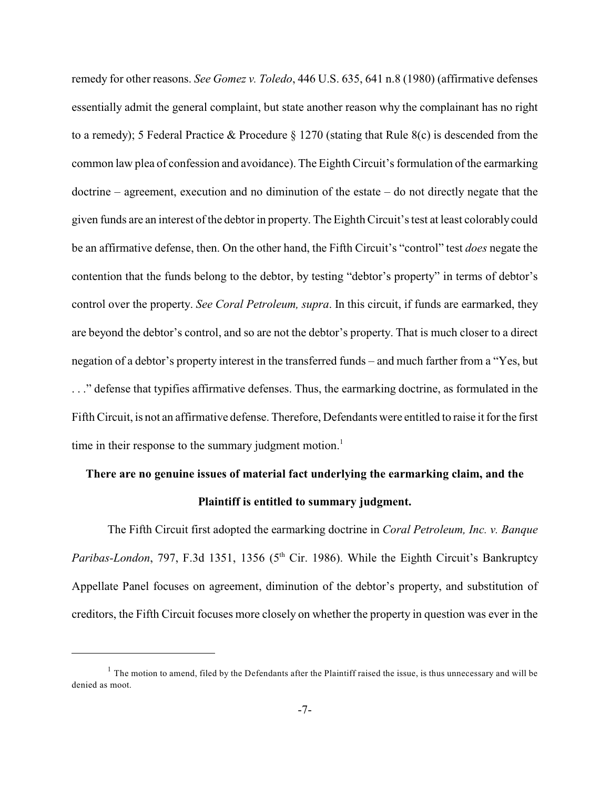remedy for other reasons. *See Gomez v. Toledo*, 446 U.S. 635, 641 n.8 (1980) (affirmative defenses essentially admit the general complaint, but state another reason why the complainant has no right to a remedy); 5 Federal Practice & Procedure § 1270 (stating that Rule 8(c) is descended from the common law plea of confession and avoidance). The Eighth Circuit's formulation of the earmarking doctrine – agreement, execution and no diminution of the estate – do not directly negate that the given funds are an interest of the debtor in property. The Eighth Circuit's test at least colorably could be an affirmative defense, then. On the other hand, the Fifth Circuit's "control" test *does* negate the contention that the funds belong to the debtor, by testing "debtor's property" in terms of debtor's control over the property. *See Coral Petroleum, supra*. In this circuit, if funds are earmarked, they are beyond the debtor's control, and so are not the debtor's property. That is much closer to a direct negation of a debtor's property interest in the transferred funds – and much farther from a "Yes, but . . ." defense that typifies affirmative defenses. Thus, the earmarking doctrine, as formulated in the Fifth Circuit, is not an affirmative defense. Therefore, Defendants were entitled to raise it for the first time in their response to the summary judgment motion.<sup>1</sup>

# **There are no genuine issues of material fact underlying the earmarking claim, and the Plaintiff is entitled to summary judgment.**

The Fifth Circuit first adopted the earmarking doctrine in *Coral Petroleum, Inc. v. Banque Paribas-London*, 797, F.3d 1351, 1356 (5<sup>th</sup> Cir. 1986). While the Eighth Circuit's Bankruptcy Appellate Panel focuses on agreement, diminution of the debtor's property, and substitution of creditors, the Fifth Circuit focuses more closely on whether the property in question was ever in the

 $<sup>1</sup>$  The motion to amend, filed by the Defendants after the Plaintiff raised the issue, is thus unnecessary and will be</sup> denied as moot.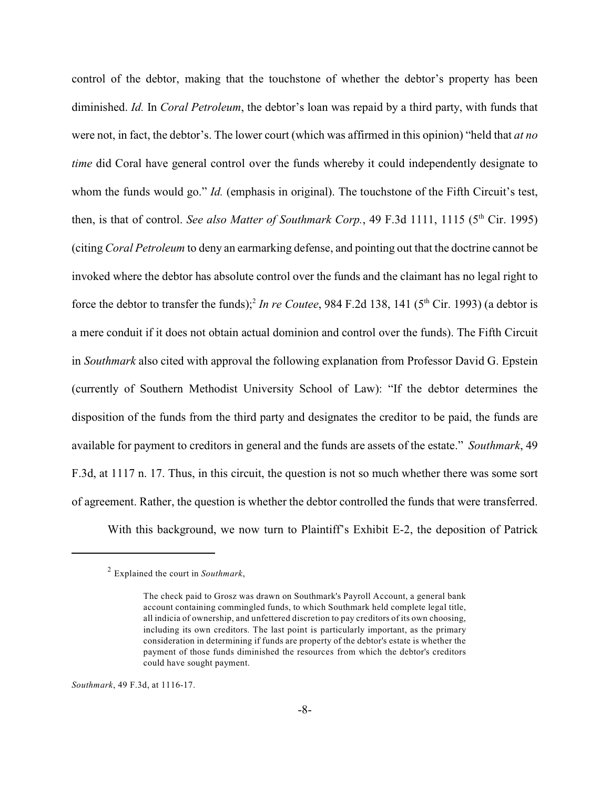control of the debtor, making that the touchstone of whether the debtor's property has been diminished. *Id.* In *Coral Petroleum*, the debtor's loan was repaid by a third party, with funds that were not, in fact, the debtor's. The lower court (which was affirmed in this opinion) "held that *at no time* did Coral have general control over the funds whereby it could independently designate to whom the funds would go." *Id.* (emphasis in original). The touchstone of the Fifth Circuit's test, then, is that of control. *See also Matter of Southmark Corp.*, 49 F.3d 1111, 1115 (5<sup>th</sup> Cir. 1995) (citing *Coral Petroleum* to deny an earmarking defense, and pointing out that the doctrine cannot be invoked where the debtor has absolute control over the funds and the claimant has no legal right to force the debtor to transfer the funds);<sup>2</sup> In re Coutee, 984 F.2d 138, 141 ( $5<sup>th</sup>$  Cir. 1993) (a debtor is a mere conduit if it does not obtain actual dominion and control over the funds). The Fifth Circuit in *Southmark* also cited with approval the following explanation from Professor David G. Epstein (currently of Southern Methodist University School of Law): "If the debtor determines the disposition of the funds from the third party and designates the creditor to be paid, the funds are available for payment to creditors in general and the funds are assets of the estate." *Southmark*, 49 F.3d, at 1117 n. 17. Thus, in this circuit, the question is not so much whether there was some sort of agreement. Rather, the question is whether the debtor controlled the funds that were transferred.

With this background, we now turn to Plaintiff's Exhibit E-2, the deposition of Patrick

*Southmark*, 49 F.3d, at 1116-17.

Explained the court in *Southmark*, 2

The check paid to Grosz was drawn on Southmark's Payroll Account, a general bank account containing commingled funds, to which Southmark held complete legal title, all indicia of ownership, and unfettered discretion to pay creditors of its own choosing, including its own creditors. The last point is particularly important, as the primary consideration in determining if funds are property of the debtor's estate is whether the payment of those funds diminished the resources from which the debtor's creditors could have sought payment.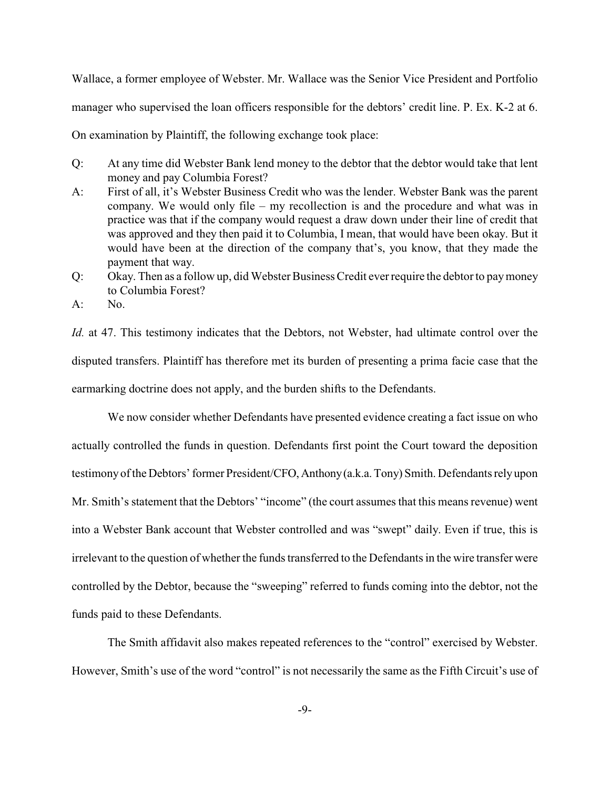Wallace, a former employee of Webster. Mr. Wallace was the Senior Vice President and Portfolio manager who supervised the loan officers responsible for the debtors' credit line. P. Ex. K-2 at 6. On examination by Plaintiff, the following exchange took place:

Q: At any time did Webster Bank lend money to the debtor that the debtor would take that lent money and pay Columbia Forest?

- A: First of all, it's Webster Business Credit who was the lender. Webster Bank was the parent company. We would only file – my recollection is and the procedure and what was in practice was that if the company would request a draw down under their line of credit that was approved and they then paid it to Columbia, I mean, that would have been okay. But it would have been at the direction of the company that's, you know, that they made the payment that way.
- Q: Okay. Then as a follow up, did Webster Business Credit ever require the debtor to pay money to Columbia Forest?

 $A:$  No.

*Id.* at 47. This testimony indicates that the Debtors, not Webster, had ultimate control over the disputed transfers. Plaintiff has therefore met its burden of presenting a prima facie case that the earmarking doctrine does not apply, and the burden shifts to the Defendants.

We now consider whether Defendants have presented evidence creating a fact issue on who actually controlled the funds in question. Defendants first point the Court toward the deposition testimony of the Debtors' former President/CFO, Anthony (a.k.a. Tony) Smith. Defendants rely upon Mr. Smith's statement that the Debtors' "income" (the court assumes that this means revenue) went into a Webster Bank account that Webster controlled and was "swept" daily. Even if true, this is irrelevant to the question of whether the funds transferred to the Defendants in the wire transfer were controlled by the Debtor, because the "sweeping" referred to funds coming into the debtor, not the funds paid to these Defendants.

The Smith affidavit also makes repeated references to the "control" exercised by Webster. However, Smith's use of the word "control" is not necessarily the same as the Fifth Circuit's use of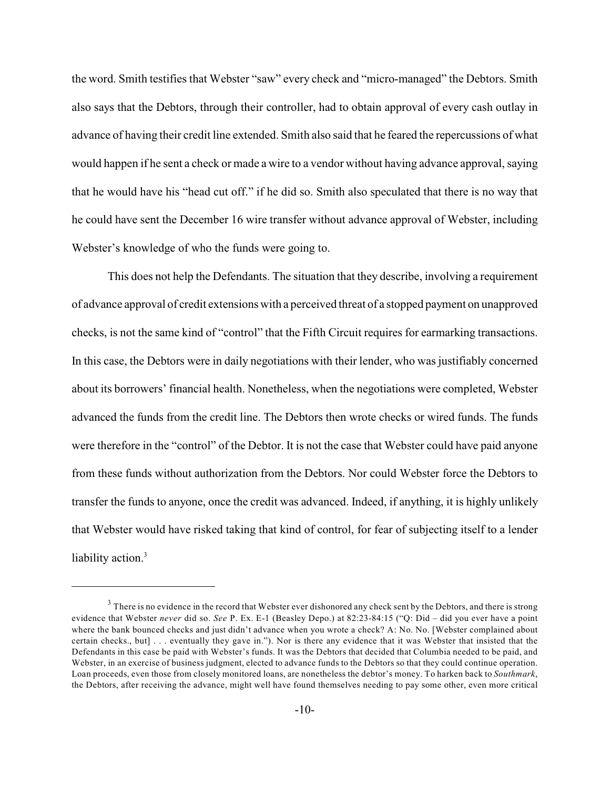the word. Smith testifies that Webster "saw" every check and "micro-managed" the Debtors. Smith also says that the Debtors, through their controller, had to obtain approval of every cash outlay in advance of having their credit line extended. Smith also said that he feared the repercussions of what would happen if he sent a check or made a wire to a vendor without having advance approval, saying that he would have his "head cut off." if he did so. Smith also speculated that there is no way that he could have sent the December 16 wire transfer without advance approval of Webster, including Webster's knowledge of who the funds were going to.

This does not help the Defendants. The situation that they describe, involving a requirement of advance approval of credit extensions with a perceived threat of a stopped payment on unapproved checks, is not the same kind of "control" that the Fifth Circuit requires for earmarking transactions. In this case, the Debtors were in daily negotiations with their lender, who was justifiably concerned about its borrowers' financial health. Nonetheless, when the negotiations were completed, Webster advanced the funds from the credit line. The Debtors then wrote checks or wired funds. The funds were therefore in the "control" of the Debtor. It is not the case that Webster could have paid anyone from these funds without authorization from the Debtors. Nor could Webster force the Debtors to transfer the funds to anyone, once the credit was advanced. Indeed, if anything, it is highly unlikely that Webster would have risked taking that kind of control, for fear of subjecting itself to a lender liability action.<sup>3</sup>

 $3$  There is no evidence in the record that Webster ever dishonored any check sent by the Debtors, and there is strong evidence that Webster *never* did so. *See* P. Ex. E-1 (Beasley Depo.) at 82:23-84:15 ("Q: Did – did you ever have a point where the bank bounced checks and just didn't advance when you wrote a check? A: No. No. [Webster complained about certain checks., but] . . . eventually they gave in."). Nor is there any evidence that it was Webster that insisted that the Defendants in this case be paid with Webster's funds. It was the Debtors that decided that Columbia needed to be paid, and Webster, in an exercise of business judgment, elected to advance funds to the Debtors so that they could continue operation. Loan proceeds, even those from closely monitored loans, are nonetheless the debtor's money. To harken back to *Southmark*, the Debtors, after receiving the advance, might well have found themselves needing to pay some other, even more critical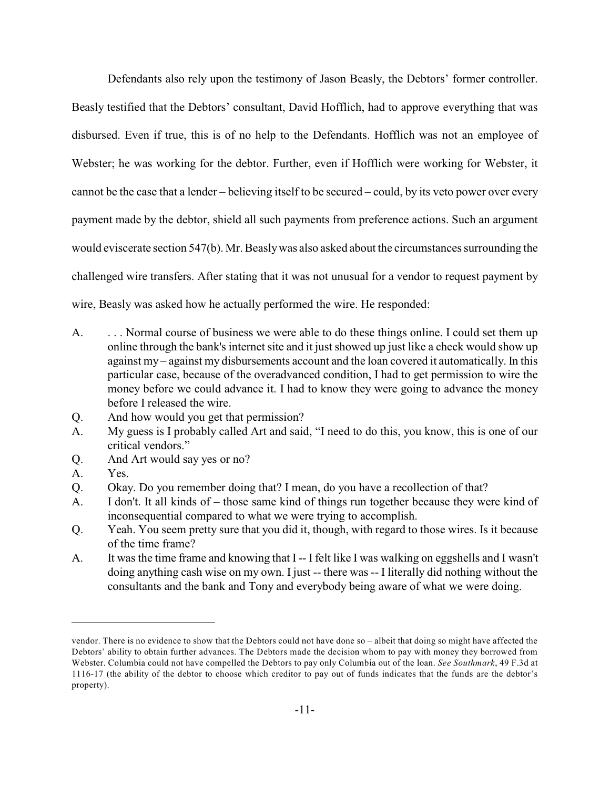Defendants also rely upon the testimony of Jason Beasly, the Debtors' former controller. Beasly testified that the Debtors' consultant, David Hofflich, had to approve everything that was disbursed. Even if true, this is of no help to the Defendants. Hofflich was not an employee of Webster; he was working for the debtor. Further, even if Hofflich were working for Webster, it cannot be the case that a lender – believing itself to be secured – could, by its veto power over every payment made by the debtor, shield all such payments from preference actions. Such an argument would eviscerate section 547(b). Mr. Beasly was also asked about the circumstances surrounding the challenged wire transfers. After stating that it was not unusual for a vendor to request payment by wire, Beasly was asked how he actually performed the wire. He responded:

- A. . . . Normal course of business we were able to do these things online. I could set them up online through the bank's internet site and it just showed up just like a check would show up against my – against my disbursements account and the loan covered it automatically. In this particular case, because of the overadvanced condition, I had to get permission to wire the money before we could advance it. I had to know they were going to advance the money before I released the wire.
- Q. And how would you get that permission?
- A. My guess is I probably called Art and said, "I need to do this, you know, this is one of our critical vendors."
- Q. And Art would say yes or no?
- A. Yes.
- Q. Okay. Do you remember doing that? I mean, do you have a recollection of that?
- A. I don't. It all kinds of those same kind of things run together because they were kind of inconsequential compared to what we were trying to accomplish.
- Q. Yeah. You seem pretty sure that you did it, though, with regard to those wires. Is it because of the time frame?
- A. It was the time frame and knowing that I -- I felt like I was walking on eggshells and I wasn't doing anything cash wise on my own. I just -- there was -- I literally did nothing without the consultants and the bank and Tony and everybody being aware of what we were doing.

vendor. There is no evidence to show that the Debtors could not have done so – albeit that doing so might have affected the Debtors' ability to obtain further advances. The Debtors made the decision whom to pay with money they borrowed from Webster. Columbia could not have compelled the Debtors to pay only Columbia out of the loan. *See Southmark*, 49 F.3d at 1116-17 (the ability of the debtor to choose which creditor to pay out of funds indicates that the funds are the debtor's property).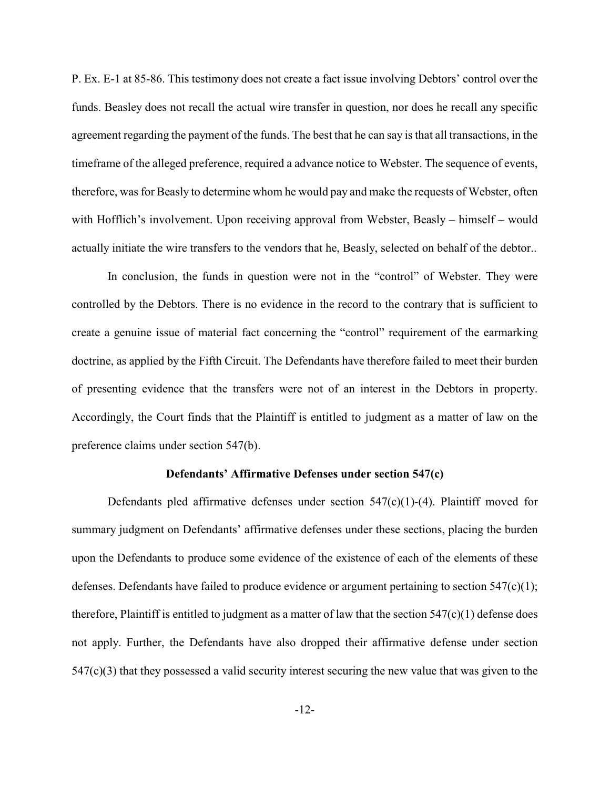P. Ex. E-1 at 85-86. This testimony does not create a fact issue involving Debtors' control over the funds. Beasley does not recall the actual wire transfer in question, nor does he recall any specific agreement regarding the payment of the funds. The best that he can say is that all transactions, in the timeframe of the alleged preference, required a advance notice to Webster. The sequence of events, therefore, was for Beasly to determine whom he would pay and make the requests of Webster, often with Hofflich's involvement. Upon receiving approval from Webster, Beasly – himself – would actually initiate the wire transfers to the vendors that he, Beasly, selected on behalf of the debtor..

In conclusion, the funds in question were not in the "control" of Webster. They were controlled by the Debtors. There is no evidence in the record to the contrary that is sufficient to create a genuine issue of material fact concerning the "control" requirement of the earmarking doctrine, as applied by the Fifth Circuit. The Defendants have therefore failed to meet their burden of presenting evidence that the transfers were not of an interest in the Debtors in property. Accordingly, the Court finds that the Plaintiff is entitled to judgment as a matter of law on the preference claims under section 547(b).

#### **Defendants' Affirmative Defenses under section 547(c)**

Defendants pled affirmative defenses under section  $547(c)(1)-(4)$ . Plaintiff moved for summary judgment on Defendants' affirmative defenses under these sections, placing the burden upon the Defendants to produce some evidence of the existence of each of the elements of these defenses. Defendants have failed to produce evidence or argument pertaining to section  $547(c)(1)$ ; therefore, Plaintiff is entitled to judgment as a matter of law that the section  $547(c)(1)$  defense does not apply. Further, the Defendants have also dropped their affirmative defense under section 547(c)(3) that they possessed a valid security interest securing the new value that was given to the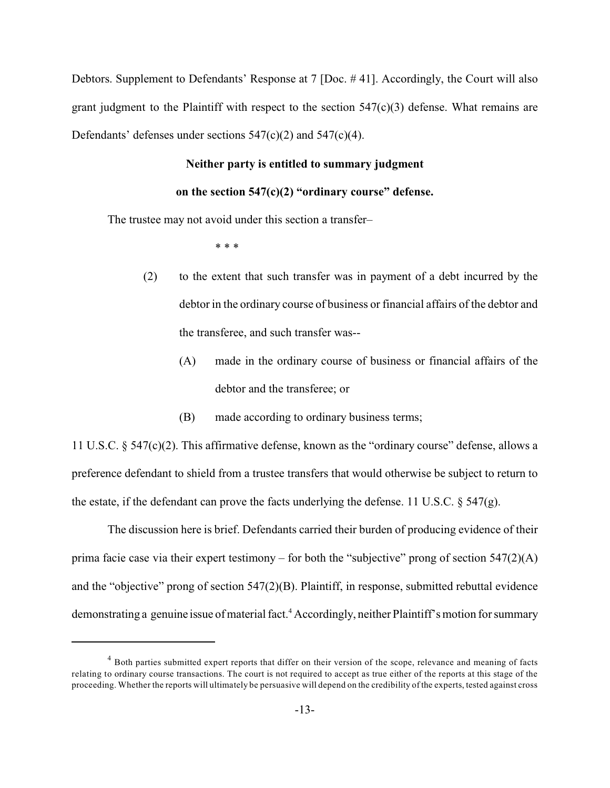Debtors. Supplement to Defendants' Response at 7 [Doc. # 41]. Accordingly, the Court will also grant judgment to the Plaintiff with respect to the section  $547(c)(3)$  defense. What remains are Defendants' defenses under sections 547(c)(2) and 547(c)(4).

# **Neither party is entitled to summary judgment**

#### **on the section 547(c)(2) "ordinary course" defense.**

The trustee may not avoid under this section a transfer–

\* \* \*

- (2) to the extent that such transfer was in payment of a debt incurred by the debtor in the ordinary course of business or financial affairs of the debtor and the transferee, and such transfer was--
	- (A) made in the ordinary course of business or financial affairs of the debtor and the transferee; or
	- (B) made according to ordinary business terms;

11 U.S.C. § 547(c)(2). This affirmative defense, known as the "ordinary course" defense, allows a preference defendant to shield from a trustee transfers that would otherwise be subject to return to the estate, if the defendant can prove the facts underlying the defense. 11 U.S.C.  $\S$  547(g).

The discussion here is brief. Defendants carried their burden of producing evidence of their prima facie case via their expert testimony – for both the "subjective" prong of section 547(2)(A) and the "objective" prong of section 547(2)(B). Plaintiff, in response, submitted rebuttal evidence demonstrating a genuine issue of material fact.<sup>4</sup> Accordingly, neither Plaintiff's motion for summary

<sup>&</sup>lt;sup>4</sup> Both parties submitted expert reports that differ on their version of the scope, relevance and meaning of facts relating to ordinary course transactions. The court is not required to accept as true either of the reports at this stage of the proceeding. Whether the reports will ultimately be persuasive will depend on the credibility of the experts, tested against cross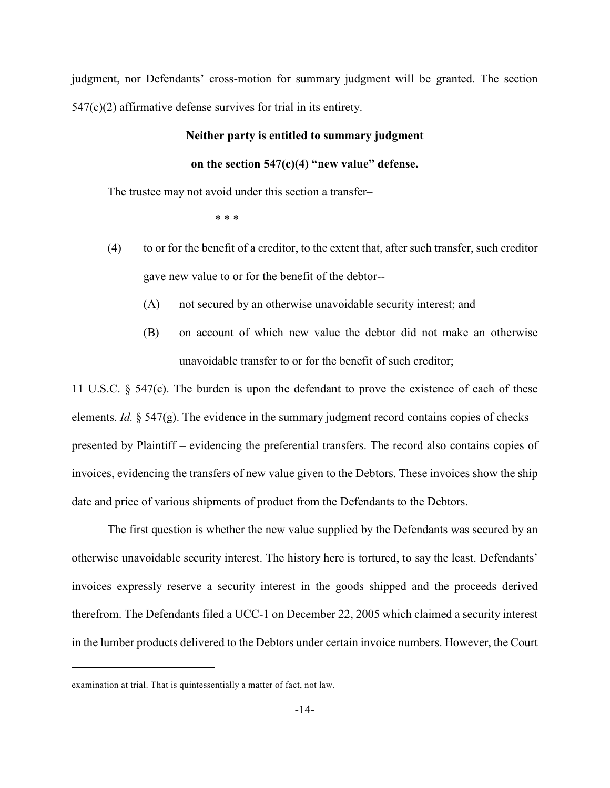judgment, nor Defendants' cross-motion for summary judgment will be granted. The section 547(c)(2) affirmative defense survives for trial in its entirety.

#### **Neither party is entitled to summary judgment**

### **on the section 547(c)(4) "new value" defense.**

The trustee may not avoid under this section a transfer–

\* \* \*

- (4) to or for the benefit of a creditor, to the extent that, after such transfer, such creditor gave new value to or for the benefit of the debtor--
	- (A) not secured by an otherwise unavoidable security interest; and
	- (B) on account of which new value the debtor did not make an otherwise unavoidable transfer to or for the benefit of such creditor;

11 U.S.C. § 547(c). The burden is upon the defendant to prove the existence of each of these elements. *Id.*  $\S$  547(g). The evidence in the summary judgment record contains copies of checks – presented by Plaintiff – evidencing the preferential transfers. The record also contains copies of invoices, evidencing the transfers of new value given to the Debtors. These invoices show the ship date and price of various shipments of product from the Defendants to the Debtors.

The first question is whether the new value supplied by the Defendants was secured by an otherwise unavoidable security interest. The history here is tortured, to say the least. Defendants' invoices expressly reserve a security interest in the goods shipped and the proceeds derived therefrom. The Defendants filed a UCC-1 on December 22, 2005 which claimed a security interest in the lumber products delivered to the Debtors under certain invoice numbers. However, the Court

examination at trial. That is quintessentially a matter of fact, not law.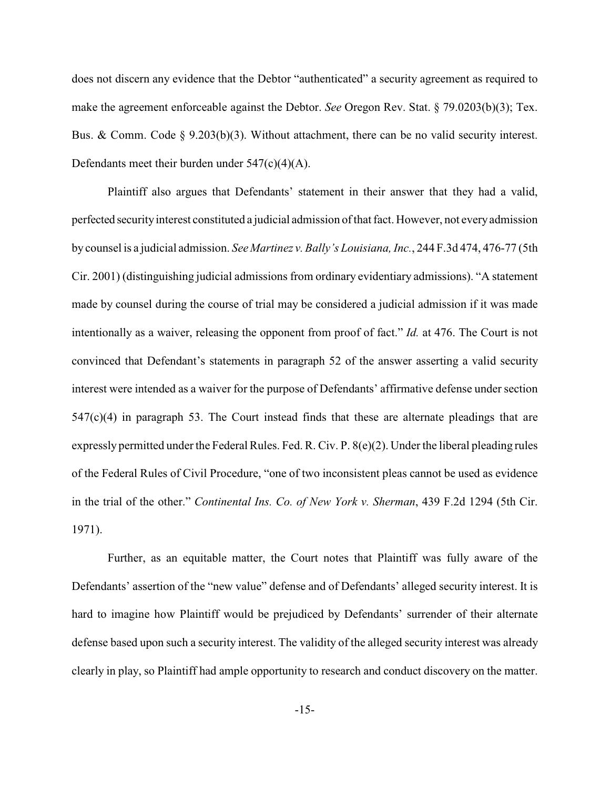does not discern any evidence that the Debtor "authenticated" a security agreement as required to make the agreement enforceable against the Debtor. *See* Oregon Rev. Stat. § 79.0203(b)(3); Tex. Bus. & Comm. Code  $\S$  9.203(b)(3). Without attachment, there can be no valid security interest. Defendants meet their burden under 547(c)(4)(A).

Plaintiff also argues that Defendants' statement in their answer that they had a valid, perfected security interest constituted a judicial admission of that fact. However, not every admission by counsel is a judicial admission. *See Martinez v. Bally's Louisiana, Inc.*, 244 F.3d 474, 476-77 (5th Cir. 2001) (distinguishing judicial admissions from ordinary evidentiary admissions). "A statement made by counsel during the course of trial may be considered a judicial admission if it was made intentionally as a waiver, releasing the opponent from proof of fact." *Id.* at 476. The Court is not convinced that Defendant's statements in paragraph 52 of the answer asserting a valid security interest were intended as a waiver for the purpose of Defendants' affirmative defense under section 547(c)(4) in paragraph 53. The Court instead finds that these are alternate pleadings that are expressly permitted under the Federal Rules. Fed. R. Civ. P. 8(e)(2). Under the liberal pleading rules of the Federal Rules of Civil Procedure, "one of two inconsistent pleas cannot be used as evidence in the trial of the other." *Continental Ins. Co. of New York v. Sherman*, 439 F.2d 1294 (5th Cir. 1971).

Further, as an equitable matter, the Court notes that Plaintiff was fully aware of the Defendants' assertion of the "new value" defense and of Defendants' alleged security interest. It is hard to imagine how Plaintiff would be prejudiced by Defendants' surrender of their alternate defense based upon such a security interest. The validity of the alleged security interest was already clearly in play, so Plaintiff had ample opportunity to research and conduct discovery on the matter.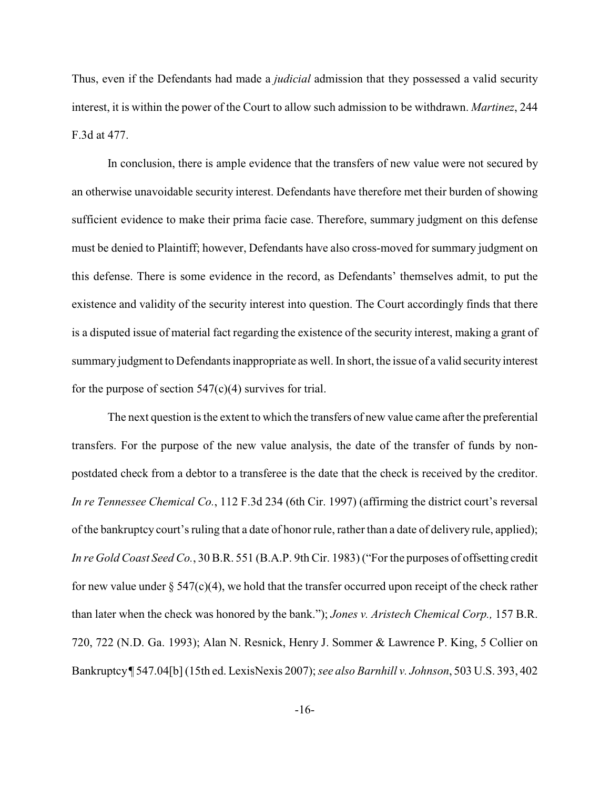Thus, even if the Defendants had made a *judicial* admission that they possessed a valid security interest, it is within the power of the Court to allow such admission to be withdrawn. *Martinez*, 244 F.3d at 477.

In conclusion, there is ample evidence that the transfers of new value were not secured by an otherwise unavoidable security interest. Defendants have therefore met their burden of showing sufficient evidence to make their prima facie case. Therefore, summary judgment on this defense must be denied to Plaintiff; however, Defendants have also cross-moved for summary judgment on this defense. There is some evidence in the record, as Defendants' themselves admit, to put the existence and validity of the security interest into question. The Court accordingly finds that there is a disputed issue of material fact regarding the existence of the security interest, making a grant of summary judgment to Defendants inappropriate as well. In short, the issue of a valid security interest for the purpose of section  $547(c)(4)$  survives for trial.

The next question is the extent to which the transfers of new value came after the preferential transfers. For the purpose of the new value analysis, the date of the transfer of funds by nonpostdated check from a debtor to a transferee is the date that the check is received by the creditor. *In re Tennessee Chemical Co.*, 112 F.3d 234 (6th Cir. 1997) (affirming the district court's reversal of the bankruptcy court's ruling that a date of honor rule, rather than a date of delivery rule, applied); *In re Gold Coast Seed Co.*, 30 B.R. 551 (B.A.P. 9th Cir. 1983) ("For the purposes of offsetting credit for new value under  $\S 547(c)(4)$ , we hold that the transfer occurred upon receipt of the check rather than later when the check was honored by the bank."); *Jones v. Aristech Chemical Corp.,* 157 B.R. 720, 722 (N.D. Ga. 1993); Alan N. Resnick, Henry J. Sommer & Lawrence P. King, 5 Collier on Bankruptcy ¶ 547.04[b] (15th ed. LexisNexis 2007);*see also Barnhill v. Johnson*, 503 U.S. 393, 402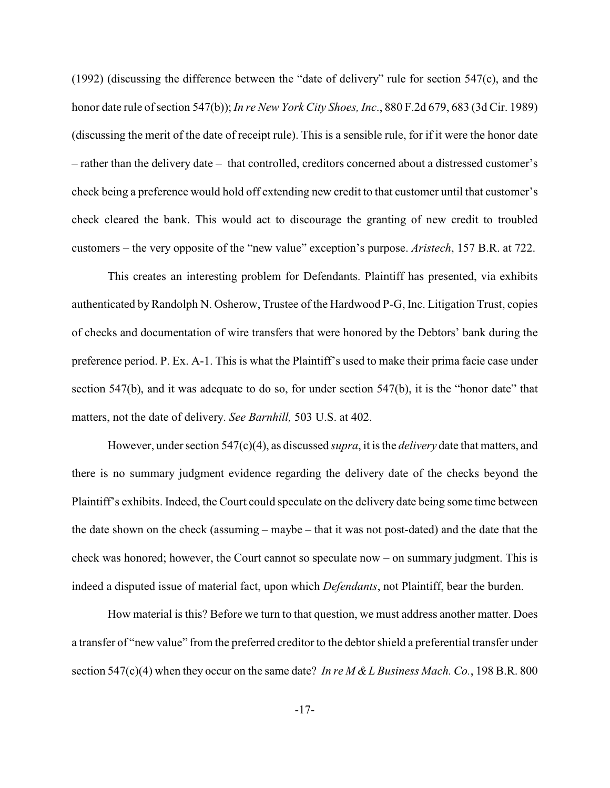(1992) (discussing the difference between the "date of delivery" rule for section 547(c), and the honor date rule of section 547(b)); *In re New York City Shoes, Inc*., 880 F.2d 679, 683 (3d Cir. 1989) (discussing the merit of the date of receipt rule). This is a sensible rule, for if it were the honor date – rather than the delivery date – that controlled, creditors concerned about a distressed customer's check being a preference would hold off extending new credit to that customer until that customer's check cleared the bank. This would act to discourage the granting of new credit to troubled customers – the very opposite of the "new value" exception's purpose. *Aristech*, 157 B.R. at 722.

This creates an interesting problem for Defendants. Plaintiff has presented, via exhibits authenticated by Randolph N. Osherow, Trustee of the Hardwood P-G, Inc. Litigation Trust, copies of checks and documentation of wire transfers that were honored by the Debtors' bank during the preference period. P. Ex. A-1. This is what the Plaintiff's used to make their prima facie case under section 547(b), and it was adequate to do so, for under section 547(b), it is the "honor date" that matters, not the date of delivery. *See Barnhill,* 503 U.S. at 402.

However, under section 547(c)(4), as discussed *supra*, it is the *delivery* date that matters, and there is no summary judgment evidence regarding the delivery date of the checks beyond the Plaintiff's exhibits. Indeed, the Court could speculate on the delivery date being some time between the date shown on the check (assuming – maybe – that it was not post-dated) and the date that the check was honored; however, the Court cannot so speculate now – on summary judgment. This is indeed a disputed issue of material fact, upon which *Defendants*, not Plaintiff, bear the burden.

How material is this? Before we turn to that question, we must address another matter. Does a transfer of "new value" from the preferred creditor to the debtor shield a preferential transfer under section 547(c)(4) when they occur on the same date? *In re M & L Business Mach. Co.*, 198 B.R. 800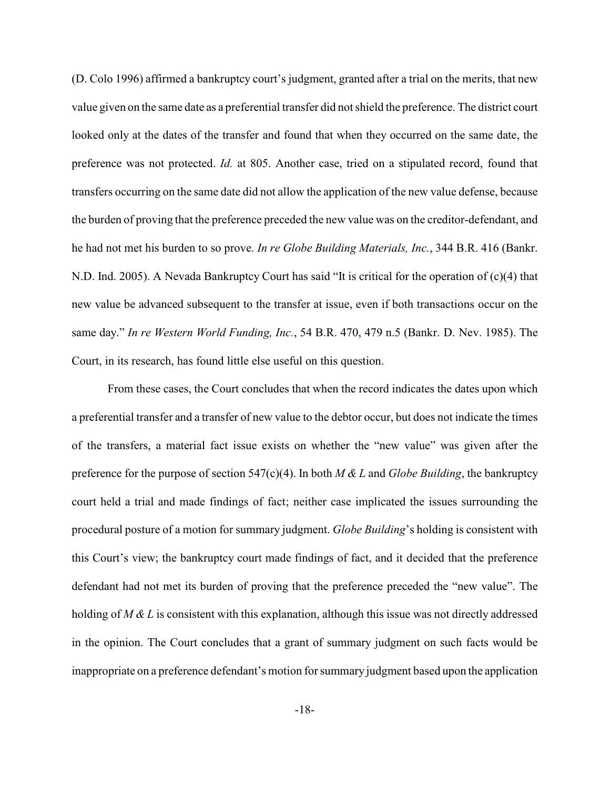(D. Colo 1996) affirmed a bankruptcy court's judgment, granted after a trial on the merits, that new value given on the same date as a preferential transfer did not shield the preference. The district court looked only at the dates of the transfer and found that when they occurred on the same date, the preference was not protected. *Id.* at 805. Another case, tried on a stipulated record, found that transfers occurring on the same date did not allow the application of the new value defense, because the burden of proving that the preference preceded the new value was on the creditor-defendant, and he had not met his burden to so prove. *In re Globe Building Materials, Inc.*, 344 B.R. 416 (Bankr. N.D. Ind. 2005). A Nevada Bankruptcy Court has said "It is critical for the operation of (c)(4) that new value be advanced subsequent to the transfer at issue, even if both transactions occur on the same day." *In re Western World Funding, Inc.*, 54 B.R. 470, 479 n.5 (Bankr. D. Nev. 1985). The Court, in its research, has found little else useful on this question.

From these cases, the Court concludes that when the record indicates the dates upon which a preferential transfer and a transfer of new value to the debtor occur, but does not indicate the times of the transfers, a material fact issue exists on whether the "new value" was given after the preference for the purpose of section 547(c)(4). In both *M & L* and *Globe Building*, the bankruptcy court held a trial and made findings of fact; neither case implicated the issues surrounding the procedural posture of a motion for summary judgment. *Globe Building*'s holding is consistent with this Court's view; the bankruptcy court made findings of fact, and it decided that the preference defendant had not met its burden of proving that the preference preceded the "new value". The holding of *M & L* is consistent with this explanation, although this issue was not directly addressed in the opinion. The Court concludes that a grant of summary judgment on such facts would be inappropriate on a preference defendant's motion for summary judgment based upon the application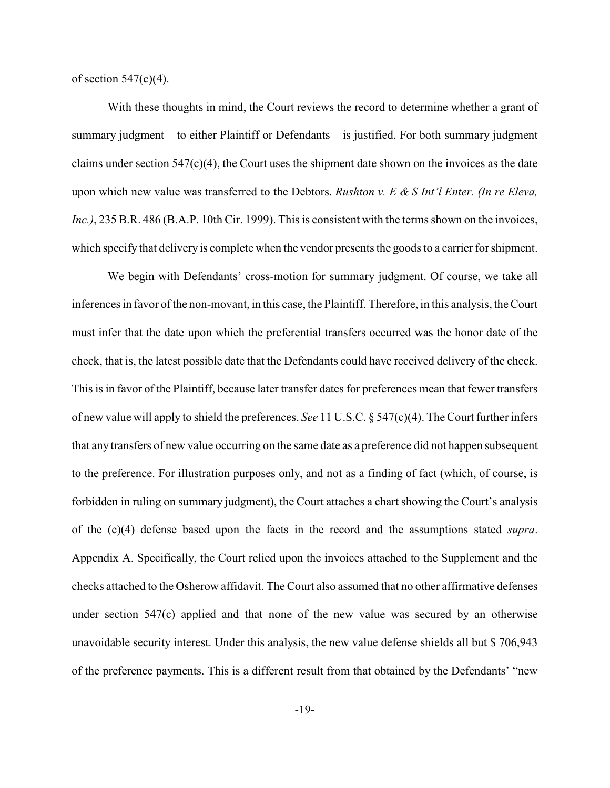of section  $547(c)(4)$ .

With these thoughts in mind, the Court reviews the record to determine whether a grant of summary judgment – to either Plaintiff or Defendants – is justified. For both summary judgment claims under section 547(c)(4), the Court uses the shipment date shown on the invoices as the date upon which new value was transferred to the Debtors. *Rushton v. E & S Int'l Enter. (In re Eleva, Inc.)*, 235 B.R. 486 (B.A.P. 10th Cir. 1999). This is consistent with the terms shown on the invoices, which specify that delivery is complete when the vendor presents the goods to a carrier for shipment.

We begin with Defendants' cross-motion for summary judgment. Of course, we take all inferences in favor of the non-movant, in this case, the Plaintiff. Therefore, in this analysis, the Court must infer that the date upon which the preferential transfers occurred was the honor date of the check, that is, the latest possible date that the Defendants could have received delivery of the check. This is in favor of the Plaintiff, because later transfer dates for preferences mean that fewer transfers of new value will apply to shield the preferences. *See* 11 U.S.C. § 547(c)(4). The Court further infers that any transfers of new value occurring on the same date as a preference did not happen subsequent to the preference. For illustration purposes only, and not as a finding of fact (which, of course, is forbidden in ruling on summary judgment), the Court attaches a chart showing the Court's analysis of the (c)(4) defense based upon the facts in the record and the assumptions stated *supra*. Appendix A. Specifically, the Court relied upon the invoices attached to the Supplement and the checks attached to the Osherow affidavit. The Court also assumed that no other affirmative defenses under section 547(c) applied and that none of the new value was secured by an otherwise unavoidable security interest. Under this analysis, the new value defense shields all but \$ 706,943 of the preference payments. This is a different result from that obtained by the Defendants' "new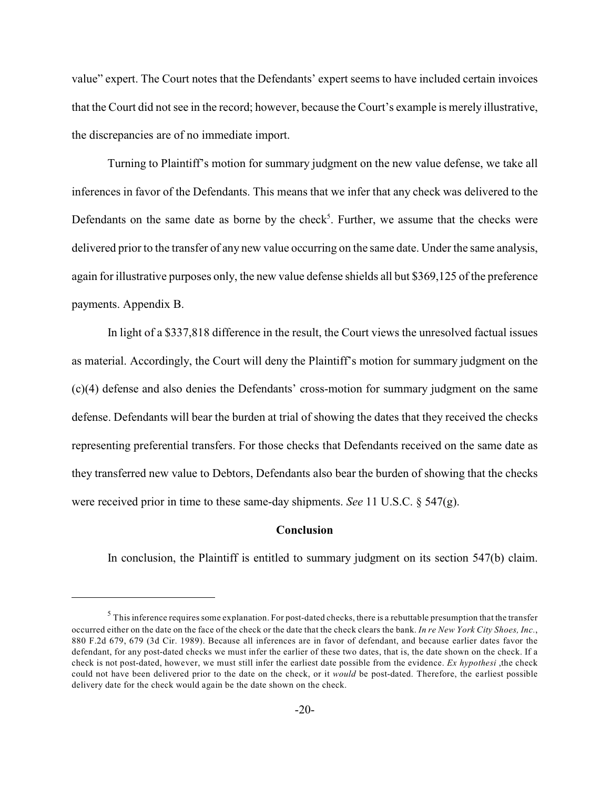value" expert. The Court notes that the Defendants' expert seems to have included certain invoices that the Court did not see in the record; however, because the Court's example is merely illustrative, the discrepancies are of no immediate import.

Turning to Plaintiff's motion for summary judgment on the new value defense, we take all inferences in favor of the Defendants. This means that we infer that any check was delivered to the Defendants on the same date as borne by the check<sup>5</sup>. Further, we assume that the checks were delivered prior to the transfer of any new value occurring on the same date. Under the same analysis, again for illustrative purposes only, the new value defense shields all but \$369,125 of the preference payments. Appendix B.

In light of a \$337,818 difference in the result, the Court views the unresolved factual issues as material. Accordingly, the Court will deny the Plaintiff's motion for summary judgment on the (c)(4) defense and also denies the Defendants' cross-motion for summary judgment on the same defense. Defendants will bear the burden at trial of showing the dates that they received the checks representing preferential transfers. For those checks that Defendants received on the same date as they transferred new value to Debtors, Defendants also bear the burden of showing that the checks were received prior in time to these same-day shipments. *See* 11 U.S.C. § 547(g).

#### **Conclusion**

In conclusion, the Plaintiff is entitled to summary judgment on its section 547(b) claim.

 $<sup>5</sup>$  This inference requires some explanation. For post-dated checks, there is a rebuttable presumption that the transfer</sup> occurred either on the date on the face of the check or the date that the check clears the bank. *In re New York City Shoes, Inc.*, 880 F.2d 679, 679 (3d Cir. 1989). Because all inferences are in favor of defendant, and because earlier dates favor the defendant, for any post-dated checks we must infer the earlier of these two dates, that is, the date shown on the check. If a check is not post-dated, however, we must still infer the earliest date possible from the evidence. *Ex hypothesi* ,the check could not have been delivered prior to the date on the check, or it *would* be post-dated. Therefore, the earliest possible delivery date for the check would again be the date shown on the check.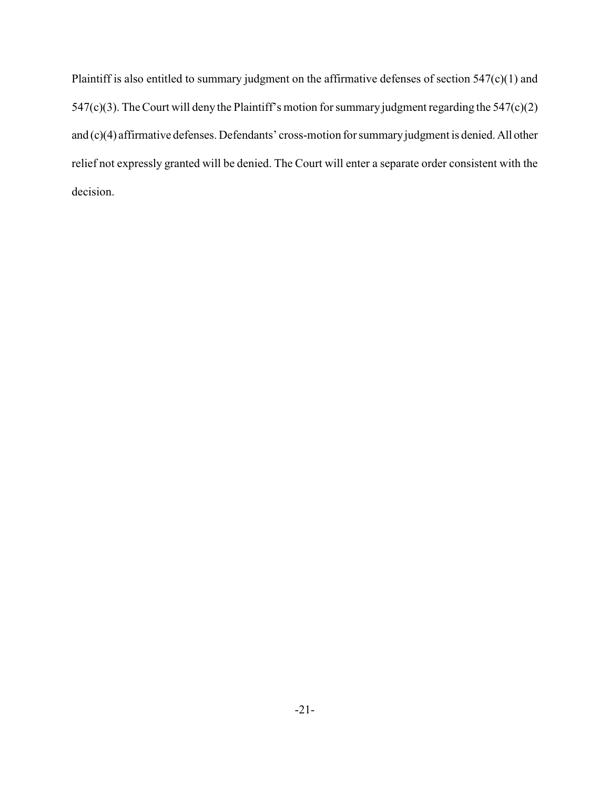Plaintiff is also entitled to summary judgment on the affirmative defenses of section 547(c)(1) and 547(c)(3). The Court will deny the Plaintiff's motion for summary judgment regarding the  $547(c)(2)$ and (c)(4) affirmative defenses. Defendants' cross-motion for summary judgment is denied. All other relief not expressly granted will be denied. The Court will enter a separate order consistent with the decision.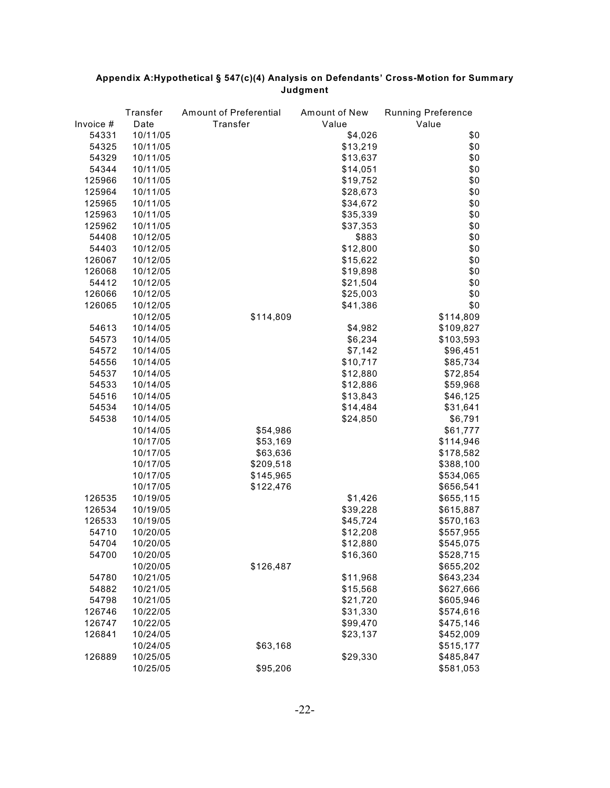|           | Transfer | Amount of Preferential | Amount of New | <b>Running Preference</b> |
|-----------|----------|------------------------|---------------|---------------------------|
| Invoice # | Date     | Transfer               | Value         | Value                     |
| 54331     | 10/11/05 |                        | \$4,026       | \$0                       |
| 54325     | 10/11/05 |                        | \$13,219      | \$0                       |
| 54329     | 10/11/05 |                        | \$13,637      | \$0                       |
| 54344     | 10/11/05 |                        | \$14,051      | \$0                       |
| 125966    | 10/11/05 |                        | \$19,752      | \$0                       |
| 125964    | 10/11/05 |                        | \$28,673      | \$0                       |
| 125965    | 10/11/05 |                        | \$34,672      | \$0                       |
| 125963    | 10/11/05 |                        | \$35,339      | \$0                       |
| 125962    | 10/11/05 |                        | \$37,353      | \$0                       |
| 54408     | 10/12/05 |                        | \$883         | \$0                       |
| 54403     | 10/12/05 |                        | \$12,800      | \$0                       |
| 126067    | 10/12/05 |                        | \$15,622      | \$0                       |
| 126068    | 10/12/05 |                        | \$19,898      | \$0                       |
| 54412     | 10/12/05 |                        | \$21,504      | \$0                       |
| 126066    | 10/12/05 |                        | \$25,003      | \$0                       |
| 126065    | 10/12/05 |                        | \$41,386      | \$0                       |
|           | 10/12/05 | \$114,809              |               | \$114,809                 |
| 54613     | 10/14/05 |                        | \$4,982       | \$109,827                 |
| 54573     | 10/14/05 |                        | \$6,234       | \$103,593                 |
|           |          |                        |               |                           |
| 54572     | 10/14/05 |                        | \$7,142       | \$96,451                  |
| 54556     | 10/14/05 |                        | \$10,717      | \$85,734                  |
| 54537     | 10/14/05 |                        | \$12,880      | \$72,854                  |
| 54533     | 10/14/05 |                        | \$12,886      | \$59,968                  |
| 54516     | 10/14/05 |                        | \$13,843      | \$46,125                  |
| 54534     | 10/14/05 |                        | \$14,484      | \$31,641                  |
| 54538     | 10/14/05 |                        | \$24,850      | \$6,791                   |
|           | 10/14/05 | \$54,986               |               | \$61,777                  |
|           | 10/17/05 | \$53,169               |               | \$114,946                 |
|           | 10/17/05 | \$63,636               |               | \$178,582                 |
|           | 10/17/05 | \$209,518              |               | \$388,100                 |
|           | 10/17/05 | \$145,965              |               | \$534,065                 |
|           | 10/17/05 | \$122,476              |               | \$656,541                 |
| 126535    | 10/19/05 |                        | \$1,426       | \$655,115                 |
| 126534    | 10/19/05 |                        | \$39,228      | \$615,887                 |
| 126533    | 10/19/05 |                        | \$45,724      | \$570,163                 |
| 54710     | 10/20/05 |                        | \$12,208      | \$557,955                 |
| 54704     | 10/20/05 |                        | \$12,880      | \$545,075                 |
| 54700     | 10/20/05 |                        | \$16,360      | \$528,715                 |
|           | 10/20/05 | \$126,487              |               | \$655,202                 |
| 54780     | 10/21/05 |                        | \$11,968      | \$643,234                 |
| 54882     | 10/21/05 |                        | \$15,568      | \$627,666                 |
| 54798     | 10/21/05 |                        | \$21,720      | \$605,946                 |
| 126746    | 10/22/05 |                        | \$31,330      | \$574,616                 |
| 126747    | 10/22/05 |                        | \$99,470      | \$475,146                 |
| 126841    | 10/24/05 |                        | \$23,137      | \$452,009                 |
|           | 10/24/05 | \$63,168               |               | \$515,177                 |
| 126889    | 10/25/05 |                        | \$29,330      | \$485,847                 |
|           | 10/25/05 | \$95,206               |               | \$581,053                 |

# **Appendix A:Hypothetical § 547(c)(4) Analysis on Defendants' Cross-Motion for Summary Judgment**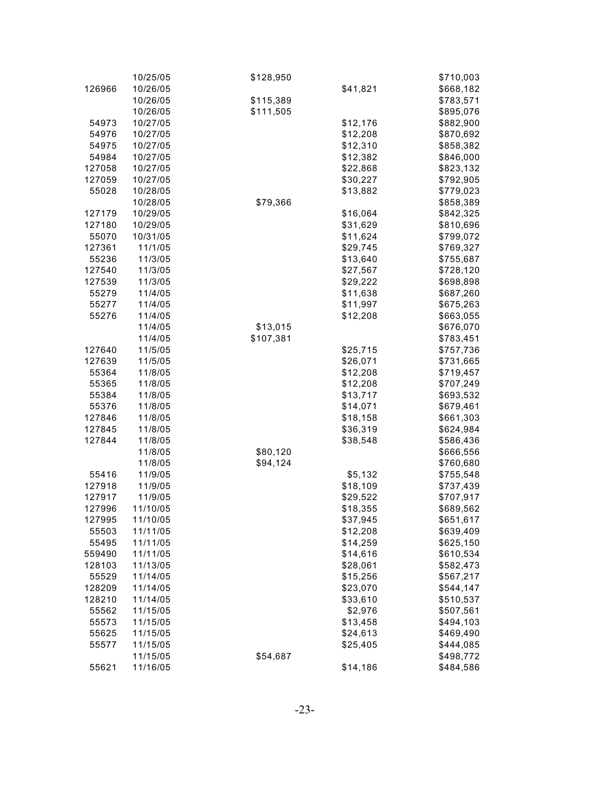|        | 10/25/05 | \$128,950 |          | \$710,003 |
|--------|----------|-----------|----------|-----------|
| 126966 | 10/26/05 |           | \$41,821 | \$668,182 |
|        | 10/26/05 | \$115,389 |          | \$783,571 |
|        | 10/26/05 | \$111,505 |          | \$895,076 |
| 54973  | 10/27/05 |           | \$12,176 | \$882,900 |
| 54976  | 10/27/05 |           | \$12,208 | \$870,692 |
| 54975  | 10/27/05 |           | \$12,310 | \$858,382 |
| 54984  | 10/27/05 |           | \$12,382 | \$846,000 |
| 127058 | 10/27/05 |           | \$22,868 | \$823,132 |
| 127059 | 10/27/05 |           | \$30,227 | \$792,905 |
| 55028  | 10/28/05 |           | \$13,882 | \$779,023 |
|        | 10/28/05 | \$79,366  |          | \$858,389 |
| 127179 |          |           |          |           |
|        | 10/29/05 |           | \$16,064 | \$842,325 |
| 127180 | 10/29/05 |           | \$31,629 | \$810,696 |
| 55070  | 10/31/05 |           | \$11,624 | \$799,072 |
| 127361 | 11/1/05  |           | \$29,745 | \$769,327 |
| 55236  | 11/3/05  |           | \$13,640 | \$755,687 |
| 127540 | 11/3/05  |           | \$27,567 | \$728,120 |
| 127539 | 11/3/05  |           | \$29,222 | \$698,898 |
| 55279  | 11/4/05  |           | \$11,638 | \$687,260 |
| 55277  | 11/4/05  |           | \$11,997 | \$675,263 |
| 55276  | 11/4/05  |           | \$12,208 | \$663,055 |
|        | 11/4/05  | \$13,015  |          | \$676,070 |
|        | 11/4/05  | \$107,381 |          | \$783,451 |
| 127640 | 11/5/05  |           | \$25,715 | \$757,736 |
| 127639 | 11/5/05  |           | \$26,071 | \$731,665 |
| 55364  | 11/8/05  |           | \$12,208 | \$719,457 |
| 55365  | 11/8/05  |           | \$12,208 | \$707,249 |
| 55384  | 11/8/05  |           | \$13,717 | \$693,532 |
| 55376  | 11/8/05  |           | \$14,071 | \$679,461 |
| 127846 | 11/8/05  |           | \$18,158 | \$661,303 |
| 127845 | 11/8/05  |           | \$36,319 | \$624,984 |
| 127844 | 11/8/05  |           | \$38,548 | \$586,436 |
|        | 11/8/05  | \$80,120  |          | \$666,556 |
|        | 11/8/05  | \$94,124  |          | \$760,680 |
| 55416  | 11/9/05  |           | \$5,132  | \$755,548 |
| 127918 | 11/9/05  |           | \$18,109 | \$737,439 |
| 127917 | 11/9/05  |           | \$29,522 | \$707,917 |
| 127996 | 11/10/05 |           | \$18,355 | \$689,562 |
| 127995 | 11/10/05 |           | \$37,945 | \$651,617 |
| 55503  | 11/11/05 |           | \$12,208 | \$639,409 |
| 55495  | 11/11/05 |           | \$14,259 | \$625,150 |
|        |          |           |          | \$610,534 |
| 559490 | 11/11/05 |           | \$14,616 |           |
| 128103 | 11/13/05 |           | \$28,061 | \$582,473 |
| 55529  | 11/14/05 |           | \$15,256 | \$567,217 |
| 128209 | 11/14/05 |           | \$23,070 | \$544,147 |
| 128210 | 11/14/05 |           | \$33,610 | \$510,537 |
| 55562  | 11/15/05 |           | \$2,976  | \$507,561 |
| 55573  | 11/15/05 |           | \$13,458 | \$494,103 |
| 55625  | 11/15/05 |           | \$24,613 | \$469,490 |
| 55577  | 11/15/05 |           | \$25,405 | \$444,085 |
|        | 11/15/05 | \$54,687  |          | \$498,772 |
| 55621  | 11/16/05 |           | \$14,186 | \$484,586 |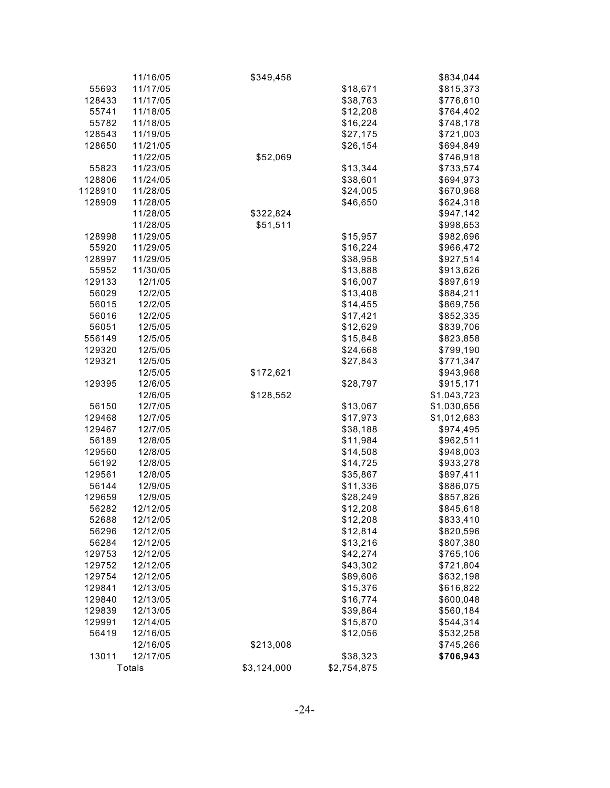|         | 11/16/05 | \$349,458   |             | \$834,044   |
|---------|----------|-------------|-------------|-------------|
| 55693   | 11/17/05 |             | \$18,671    | \$815,373   |
| 128433  | 11/17/05 |             | \$38,763    | \$776,610   |
| 55741   | 11/18/05 |             | \$12,208    | \$764,402   |
| 55782   | 11/18/05 |             | \$16,224    | \$748,178   |
| 128543  | 11/19/05 |             | \$27,175    | \$721,003   |
| 128650  | 11/21/05 |             | \$26,154    | \$694,849   |
|         | 11/22/05 | \$52,069    |             | \$746,918   |
| 55823   | 11/23/05 |             | \$13,344    | \$733,574   |
| 128806  | 11/24/05 |             | \$38,601    | \$694,973   |
| 1128910 | 11/28/05 |             | \$24,005    | \$670,968   |
| 128909  | 11/28/05 |             | \$46,650    | \$624,318   |
|         | 11/28/05 | \$322,824   |             | \$947,142   |
|         | 11/28/05 | \$51,511    |             | \$998,653   |
| 128998  | 11/29/05 |             | \$15,957    | \$982,696   |
| 55920   | 11/29/05 |             | \$16,224    | \$966,472   |
| 128997  | 11/29/05 |             | \$38,958    | \$927,514   |
| 55952   | 11/30/05 |             | \$13,888    | \$913,626   |
| 129133  | 12/1/05  |             | \$16,007    | \$897,619   |
| 56029   | 12/2/05  |             | \$13,408    | \$884,211   |
| 56015   | 12/2/05  |             | \$14,455    | \$869,756   |
| 56016   | 12/2/05  |             | \$17,421    | \$852,335   |
| 56051   | 12/5/05  |             | \$12,629    | \$839,706   |
| 556149  | 12/5/05  |             | \$15,848    | \$823,858   |
| 129320  | 12/5/05  |             | \$24,668    | \$799,190   |
| 129321  | 12/5/05  |             | \$27,843    | \$771,347   |
|         | 12/5/05  | \$172,621   |             | \$943,968   |
| 129395  | 12/6/05  |             | \$28,797    | \$915,171   |
|         | 12/6/05  | \$128,552   |             | \$1,043,723 |
| 56150   | 12/7/05  |             | \$13,067    | \$1,030,656 |
| 129468  | 12/7/05  |             | \$17,973    | \$1,012,683 |
| 129467  | 12/7/05  |             | \$38,188    | \$974,495   |
| 56189   | 12/8/05  |             | \$11,984    | \$962,511   |
| 129560  | 12/8/05  |             | \$14,508    | \$948,003   |
| 56192   | 12/8/05  |             | \$14,725    | \$933,278   |
| 129561  | 12/8/05  |             | \$35,867    | \$897,411   |
| 56144   | 12/9/05  |             | \$11,336    | \$886,075   |
| 129659  | 12/9/05  |             | \$28,249    | \$857,826   |
| 56282   | 12/12/05 |             | \$12,208    | \$845,618   |
| 52688   | 12/12/05 |             | \$12,208    | \$833,410   |
| 56296   | 12/12/05 |             | \$12,814    | \$820,596   |
| 56284   | 12/12/05 |             | \$13,216    | \$807,380   |
| 129753  | 12/12/05 |             | \$42,274    | \$765,106   |
| 129752  | 12/12/05 |             | \$43,302    | \$721,804   |
| 129754  | 12/12/05 |             | \$89,606    | \$632,198   |
| 129841  | 12/13/05 |             | \$15,376    | \$616,822   |
| 129840  | 12/13/05 |             | \$16,774    | \$600,048   |
| 129839  | 12/13/05 |             | \$39,864    | \$560,184   |
| 129991  | 12/14/05 |             | \$15,870    | \$544,314   |
| 56419   | 12/16/05 |             | \$12,056    | \$532,258   |
|         | 12/16/05 | \$213,008   |             | \$745,266   |
| 13011   | 12/17/05 |             | \$38,323    | \$706,943   |
|         | Totals   | \$3,124,000 | \$2,754,875 |             |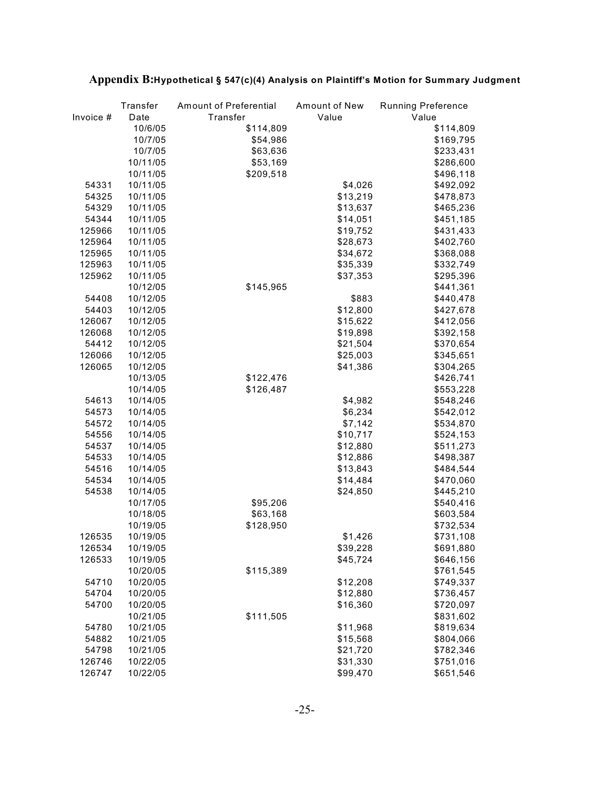|           | Transfer | Amount of Preferential | Amount of New | <b>Running Preference</b> |
|-----------|----------|------------------------|---------------|---------------------------|
| Invoice # | Date     | Transfer               | Value         | Value                     |
|           | 10/6/05  | \$114,809              |               | \$114,809                 |
|           | 10/7/05  | \$54,986               |               | \$169,795                 |
|           | 10/7/05  | \$63,636               |               | \$233,431                 |
|           | 10/11/05 | \$53,169               |               | \$286,600                 |
|           | 10/11/05 | \$209,518              |               | \$496,118                 |
| 54331     | 10/11/05 |                        | \$4,026       | \$492,092                 |
| 54325     | 10/11/05 |                        | \$13,219      | \$478,873                 |
| 54329     | 10/11/05 |                        | \$13,637      | \$465,236                 |
| 54344     | 10/11/05 |                        | \$14,051      | \$451,185                 |
| 125966    | 10/11/05 |                        | \$19,752      | \$431,433                 |
| 125964    | 10/11/05 |                        | \$28,673      | \$402,760                 |
| 125965    | 10/11/05 |                        | \$34,672      | \$368,088                 |
| 125963    | 10/11/05 |                        | \$35,339      | \$332,749                 |
| 125962    | 10/11/05 |                        | \$37,353      | \$295,396                 |
|           | 10/12/05 | \$145,965              |               | \$441,361                 |
| 54408     | 10/12/05 |                        | \$883         | \$440,478                 |
| 54403     | 10/12/05 |                        | \$12,800      | \$427,678                 |
| 126067    | 10/12/05 |                        | \$15,622      | \$412,056                 |
| 126068    | 10/12/05 |                        | \$19,898      | \$392,158                 |
| 54412     | 10/12/05 |                        | \$21,504      | \$370,654                 |
| 126066    | 10/12/05 |                        | \$25,003      |                           |
|           |          |                        |               | \$345,651                 |
| 126065    | 10/12/05 |                        | \$41,386      | \$304,265                 |
|           | 10/13/05 | \$122,476              |               | \$426,741                 |
|           | 10/14/05 | \$126,487              |               | \$553,228                 |
| 54613     | 10/14/05 |                        | \$4,982       | \$548,246                 |
| 54573     | 10/14/05 |                        | \$6,234       | \$542,012                 |
| 54572     | 10/14/05 |                        | \$7,142       | \$534,870                 |
| 54556     | 10/14/05 |                        | \$10,717      | \$524,153                 |
| 54537     | 10/14/05 |                        | \$12,880      | \$511,273                 |
| 54533     | 10/14/05 |                        | \$12,886      | \$498,387                 |
| 54516     | 10/14/05 |                        | \$13,843      | \$484,544                 |
| 54534     | 10/14/05 |                        | \$14,484      | \$470,060                 |
| 54538     | 10/14/05 |                        | \$24,850      | \$445,210                 |
|           | 10/17/05 | \$95,206               |               | \$540,416                 |
|           | 10/18/05 | \$63,168               |               | \$603,584                 |
|           | 10/19/05 | \$128,950              |               | \$732,534                 |
| 126535    | 10/19/05 |                        | \$1,426       | \$731,108                 |
| 126534    | 10/19/05 |                        | \$39,228      | \$691,880                 |
| 126533    | 10/19/05 |                        | \$45,724      | \$646,156                 |
|           | 10/20/05 | \$115,389              |               | \$761,545                 |
| 54710     | 10/20/05 |                        | \$12,208      | \$749,337                 |
| 54704     | 10/20/05 |                        | \$12,880      | \$736,457                 |
| 54700     | 10/20/05 |                        | \$16,360      | \$720,097                 |
|           | 10/21/05 | \$111,505              |               | \$831,602                 |
| 54780     | 10/21/05 |                        | \$11,968      | \$819,634                 |
| 54882     | 10/21/05 |                        | \$15,568      | \$804,066                 |
| 54798     | 10/21/05 |                        | \$21,720      | \$782,346                 |
| 126746    | 10/22/05 |                        | \$31,330      | \$751,016                 |
| 126747    | 10/22/05 |                        | \$99,470      | \$651,546                 |

# **Appendix B:Hypothetical § 547(c)(4) Analysis on Plaintiff's Motion for Summary Judgment**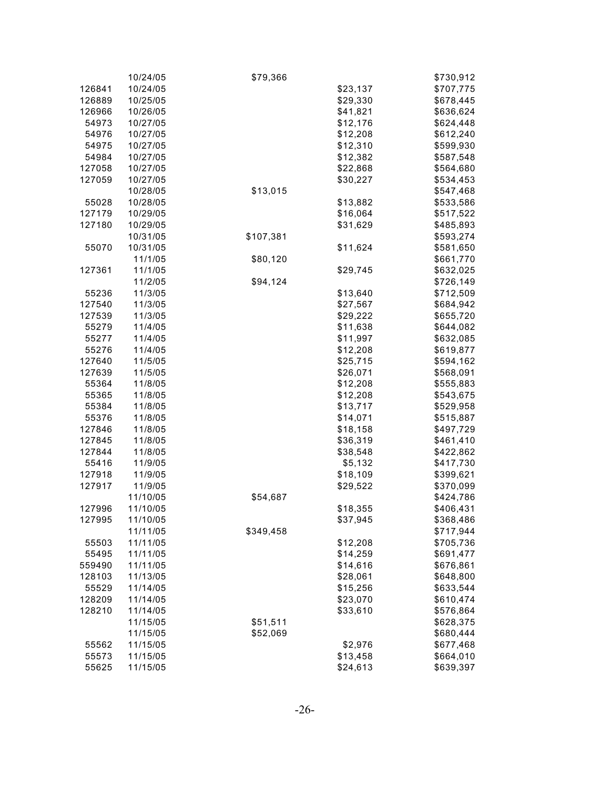|        | 10/24/05 | \$79,366  |          | \$730,912 |
|--------|----------|-----------|----------|-----------|
| 126841 | 10/24/05 |           | \$23,137 | \$707,775 |
| 126889 | 10/25/05 |           | \$29,330 | \$678,445 |
| 126966 | 10/26/05 |           | \$41,821 | \$636,624 |
| 54973  | 10/27/05 |           | \$12,176 | \$624,448 |
| 54976  | 10/27/05 |           | \$12,208 | \$612,240 |
| 54975  | 10/27/05 |           | \$12,310 | \$599,930 |
| 54984  | 10/27/05 |           | \$12,382 | \$587,548 |
| 127058 | 10/27/05 |           | \$22,868 | \$564,680 |
| 127059 | 10/27/05 |           | \$30,227 | \$534,453 |
|        | 10/28/05 | \$13,015  |          | \$547,468 |
| 55028  | 10/28/05 |           | \$13,882 | \$533,586 |
| 127179 | 10/29/05 |           | \$16,064 | \$517,522 |
| 127180 | 10/29/05 |           | \$31,629 | \$485,893 |
|        | 10/31/05 | \$107,381 |          | \$593,274 |
| 55070  | 10/31/05 |           | \$11,624 | \$581,650 |
|        | 11/1/05  | \$80,120  |          | \$661,770 |
| 127361 | 11/1/05  |           | \$29,745 | \$632,025 |
|        | 11/2/05  | \$94,124  |          | \$726,149 |
| 55236  | 11/3/05  |           | \$13,640 | \$712,509 |
| 127540 | 11/3/05  |           | \$27,567 | \$684,942 |
| 127539 | 11/3/05  |           | \$29,222 | \$655,720 |
| 55279  | 11/4/05  |           | \$11,638 | \$644,082 |
| 55277  | 11/4/05  |           | \$11,997 | \$632,085 |
| 55276  | 11/4/05  |           | \$12,208 | \$619,877 |
| 127640 | 11/5/05  |           | \$25,715 | \$594,162 |
| 127639 | 11/5/05  |           | \$26,071 | \$568,091 |
| 55364  | 11/8/05  |           | \$12,208 | \$555,883 |
| 55365  | 11/8/05  |           | \$12,208 | \$543,675 |
| 55384  | 11/8/05  |           | \$13,717 | \$529,958 |
| 55376  | 11/8/05  |           | \$14,071 | \$515,887 |
| 127846 | 11/8/05  |           | \$18,158 | \$497,729 |
| 127845 | 11/8/05  |           | \$36,319 | \$461,410 |
| 127844 | 11/8/05  |           | \$38,548 | \$422,862 |
| 55416  | 11/9/05  |           | \$5,132  | \$417,730 |
| 127918 | 11/9/05  |           | \$18,109 | \$399,621 |
| 127917 | 11/9/05  |           | \$29,522 | \$370,099 |
|        | 11/10/05 | \$54,687  |          | \$424,786 |
| 127996 | 11/10/05 |           | \$18,355 | \$406,431 |
| 127995 | 11/10/05 |           | \$37,945 | \$368,486 |
|        | 11/11/05 | \$349,458 |          | \$717,944 |
| 55503  | 11/11/05 |           | \$12,208 | \$705,736 |
| 55495  | 11/11/05 |           | \$14,259 | \$691,477 |
| 559490 | 11/11/05 |           | \$14,616 | \$676,861 |
| 128103 | 11/13/05 |           | \$28,061 | \$648,800 |
| 55529  | 11/14/05 |           | \$15,256 | \$633,544 |
| 128209 | 11/14/05 |           | \$23,070 | \$610,474 |
| 128210 | 11/14/05 |           | \$33,610 | \$576,864 |
|        | 11/15/05 | \$51,511  |          | \$628,375 |
|        | 11/15/05 | \$52,069  |          | \$680,444 |
| 55562  | 11/15/05 |           | \$2,976  | \$677,468 |
| 55573  | 11/15/05 |           | \$13,458 | \$664,010 |
| 55625  | 11/15/05 |           | \$24,613 | \$639,397 |
|        |          |           |          |           |